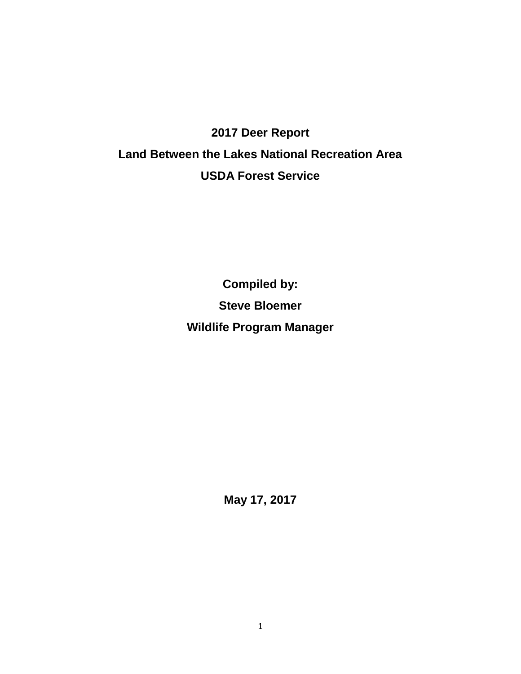# **2017 Deer Report Land Between the Lakes National Recreation Area USDA Forest Service**

**Compiled by: Steve Bloemer Wildlife Program Manager**

**May 17, 2017**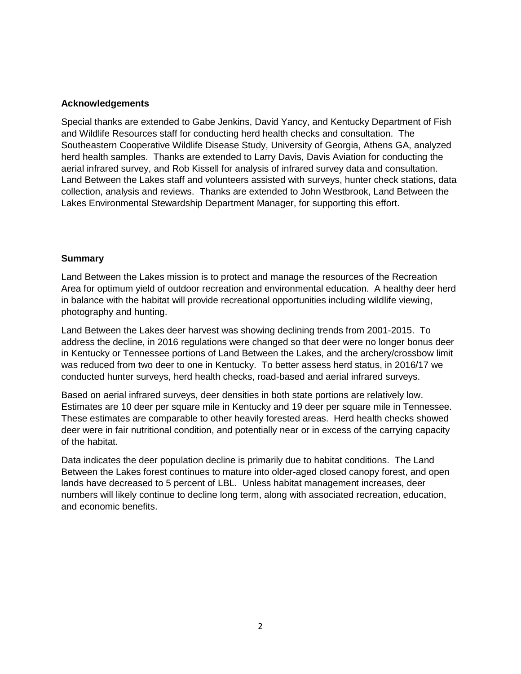#### **Acknowledgements**

Special thanks are extended to Gabe Jenkins, David Yancy, and Kentucky Department of Fish and Wildlife Resources staff for conducting herd health checks and consultation. The Southeastern Cooperative Wildlife Disease Study, University of Georgia, Athens GA, analyzed herd health samples. Thanks are extended to Larry Davis, Davis Aviation for conducting the aerial infrared survey, and Rob Kissell for analysis of infrared survey data and consultation. Land Between the Lakes staff and volunteers assisted with surveys, hunter check stations, data collection, analysis and reviews. Thanks are extended to John Westbrook, Land Between the Lakes Environmental Stewardship Department Manager, for supporting this effort.

#### **Summary**

Land Between the Lakes mission is to protect and manage the resources of the Recreation Area for optimum yield of outdoor recreation and environmental education. A healthy deer herd in balance with the habitat will provide recreational opportunities including wildlife viewing, photography and hunting.

Land Between the Lakes deer harvest was showing declining trends from 2001-2015. To address the decline, in 2016 regulations were changed so that deer were no longer bonus deer in Kentucky or Tennessee portions of Land Between the Lakes, and the archery/crossbow limit was reduced from two deer to one in Kentucky. To better assess herd status, in 2016/17 we conducted hunter surveys, herd health checks, road-based and aerial infrared surveys.

Based on aerial infrared surveys, deer densities in both state portions are relatively low. Estimates are 10 deer per square mile in Kentucky and 19 deer per square mile in Tennessee. These estimates are comparable to other heavily forested areas. Herd health checks showed deer were in fair nutritional condition, and potentially near or in excess of the carrying capacity of the habitat.

Data indicates the deer population decline is primarily due to habitat conditions. The Land Between the Lakes forest continues to mature into older-aged closed canopy forest, and open lands have decreased to 5 percent of LBL. Unless habitat management increases, deer numbers will likely continue to decline long term, along with associated recreation, education, and economic benefits.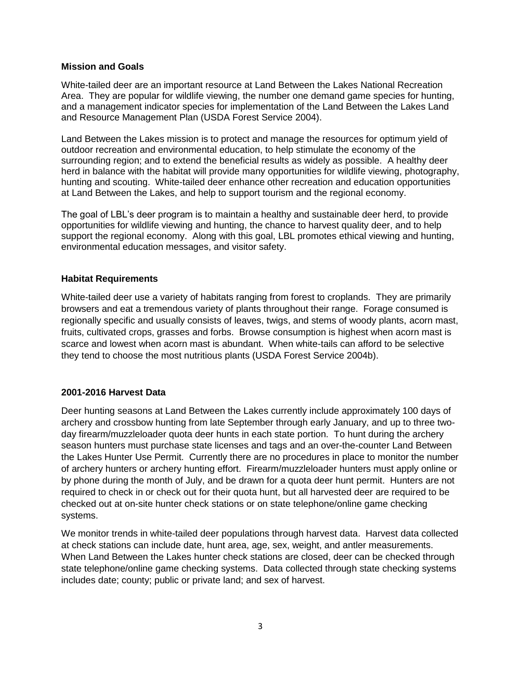#### **Mission and Goals**

White-tailed deer are an important resource at Land Between the Lakes National Recreation Area. They are popular for wildlife viewing, the number one demand game species for hunting, and a management indicator species for implementation of the Land Between the Lakes Land and Resource Management Plan (USDA Forest Service 2004).

Land Between the Lakes mission is to protect and manage the resources for optimum yield of outdoor recreation and environmental education, to help stimulate the economy of the surrounding region; and to extend the beneficial results as widely as possible. A healthy deer herd in balance with the habitat will provide many opportunities for wildlife viewing, photography, hunting and scouting. White-tailed deer enhance other recreation and education opportunities at Land Between the Lakes, and help to support tourism and the regional economy.

The goal of LBL's deer program is to maintain a healthy and sustainable deer herd, to provide opportunities for wildlife viewing and hunting, the chance to harvest quality deer, and to help support the regional economy. Along with this goal, LBL promotes ethical viewing and hunting, environmental education messages, and visitor safety.

#### **Habitat Requirements**

White-tailed deer use a variety of habitats ranging from forest to croplands. They are primarily browsers and eat a tremendous variety of plants throughout their range. Forage consumed is regionally specific and usually consists of leaves, twigs, and stems of woody plants, acorn mast, fruits, cultivated crops, grasses and forbs. Browse consumption is highest when acorn mast is scarce and lowest when acorn mast is abundant. When white-tails can afford to be selective they tend to choose the most nutritious plants (USDA Forest Service 2004b).

#### **2001-2016 Harvest Data**

Deer hunting seasons at Land Between the Lakes currently include approximately 100 days of archery and crossbow hunting from late September through early January, and up to three twoday firearm/muzzleloader quota deer hunts in each state portion. To hunt during the archery season hunters must purchase state licenses and tags and an over-the-counter Land Between the Lakes Hunter Use Permit. Currently there are no procedures in place to monitor the number of archery hunters or archery hunting effort. Firearm/muzzleloader hunters must apply online or by phone during the month of July, and be drawn for a quota deer hunt permit. Hunters are not required to check in or check out for their quota hunt, but all harvested deer are required to be checked out at on-site hunter check stations or on state telephone/online game checking systems.

We monitor trends in white-tailed deer populations through harvest data. Harvest data collected at check stations can include date, hunt area, age, sex, weight, and antler measurements. When Land Between the Lakes hunter check stations are closed, deer can be checked through state telephone/online game checking systems. Data collected through state checking systems includes date; county; public or private land; and sex of harvest.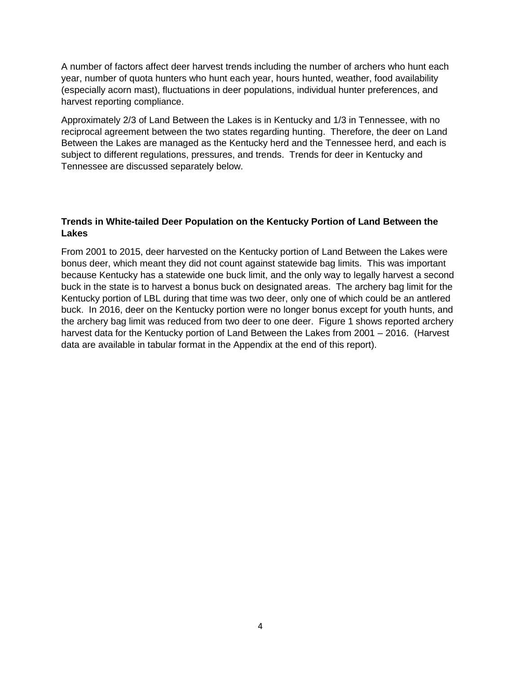A number of factors affect deer harvest trends including the number of archers who hunt each year, number of quota hunters who hunt each year, hours hunted, weather, food availability (especially acorn mast), fluctuations in deer populations, individual hunter preferences, and harvest reporting compliance.

Approximately 2/3 of Land Between the Lakes is in Kentucky and 1/3 in Tennessee, with no reciprocal agreement between the two states regarding hunting. Therefore, the deer on Land Between the Lakes are managed as the Kentucky herd and the Tennessee herd, and each is subject to different regulations, pressures, and trends. Trends for deer in Kentucky and Tennessee are discussed separately below.

#### **Trends in White-tailed Deer Population on the Kentucky Portion of Land Between the Lakes**

From 2001 to 2015, deer harvested on the Kentucky portion of Land Between the Lakes were bonus deer, which meant they did not count against statewide bag limits. This was important because Kentucky has a statewide one buck limit, and the only way to legally harvest a second buck in the state is to harvest a bonus buck on designated areas. The archery bag limit for the Kentucky portion of LBL during that time was two deer, only one of which could be an antlered buck. In 2016, deer on the Kentucky portion were no longer bonus except for youth hunts, and the archery bag limit was reduced from two deer to one deer. Figure 1 shows reported archery harvest data for the Kentucky portion of Land Between the Lakes from 2001 – 2016. (Harvest data are available in tabular format in the Appendix at the end of this report).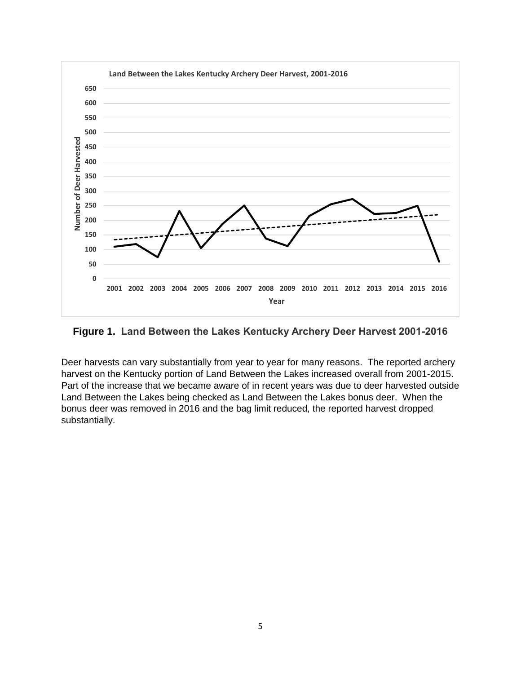

**Figure 1. Land Between the Lakes Kentucky Archery Deer Harvest 2001-2016**

Deer harvests can vary substantially from year to year for many reasons. The reported archery harvest on the Kentucky portion of Land Between the Lakes increased overall from 2001-2015. Part of the increase that we became aware of in recent years was due to deer harvested outside Land Between the Lakes being checked as Land Between the Lakes bonus deer. When the bonus deer was removed in 2016 and the bag limit reduced, the reported harvest dropped substantially.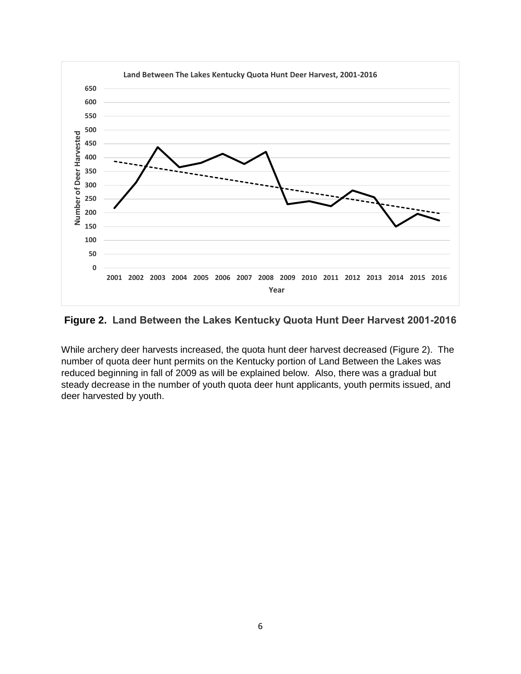

#### **Figure 2. Land Between the Lakes Kentucky Quota Hunt Deer Harvest 2001-2016**

While archery deer harvests increased, the quota hunt deer harvest decreased (Figure 2). The number of quota deer hunt permits on the Kentucky portion of Land Between the Lakes was reduced beginning in fall of 2009 as will be explained below. Also, there was a gradual but steady decrease in the number of youth quota deer hunt applicants, youth permits issued, and deer harvested by youth.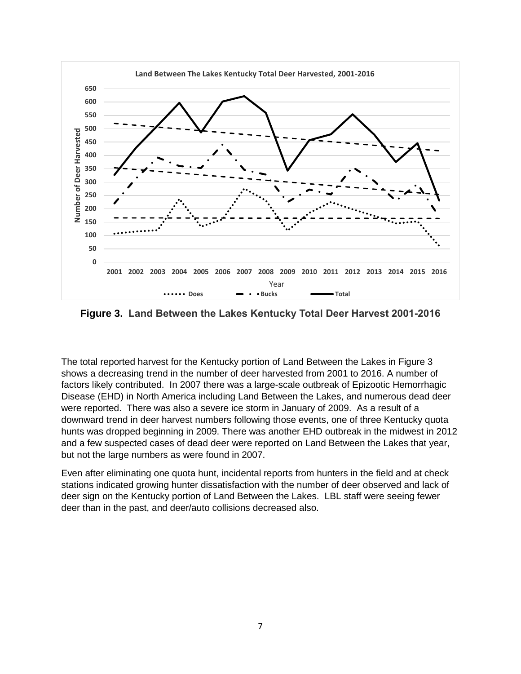

**Figure 3. Land Between the Lakes Kentucky Total Deer Harvest 2001-2016**

The total reported harvest for the Kentucky portion of Land Between the Lakes in Figure 3 shows a decreasing trend in the number of deer harvested from 2001 to 2016. A number of factors likely contributed. In 2007 there was a large-scale outbreak of Epizootic Hemorrhagic Disease (EHD) in North America including Land Between the Lakes, and numerous dead deer were reported. There was also a severe ice storm in January of 2009. As a result of a downward trend in deer harvest numbers following those events, one of three Kentucky quota hunts was dropped beginning in 2009. There was another EHD outbreak in the midwest in 2012 and a few suspected cases of dead deer were reported on Land Between the Lakes that year, but not the large numbers as were found in 2007.

Even after eliminating one quota hunt, incidental reports from hunters in the field and at check stations indicated growing hunter dissatisfaction with the number of deer observed and lack of deer sign on the Kentucky portion of Land Between the Lakes. LBL staff were seeing fewer deer than in the past, and deer/auto collisions decreased also.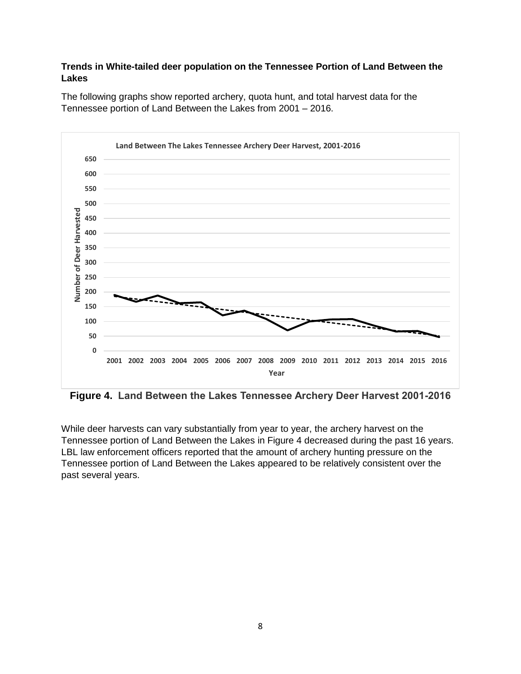#### **Trends in White-tailed deer population on the Tennessee Portion of Land Between the Lakes**



The following graphs show reported archery, quota hunt, and total harvest data for the Tennessee portion of Land Between the Lakes from 2001 – 2016.

**Figure 4. Land Between the Lakes Tennessee Archery Deer Harvest 2001-2016**

While deer harvests can vary substantially from year to year, the archery harvest on the Tennessee portion of Land Between the Lakes in Figure 4 decreased during the past 16 years. LBL law enforcement officers reported that the amount of archery hunting pressure on the Tennessee portion of Land Between the Lakes appeared to be relatively consistent over the past several years.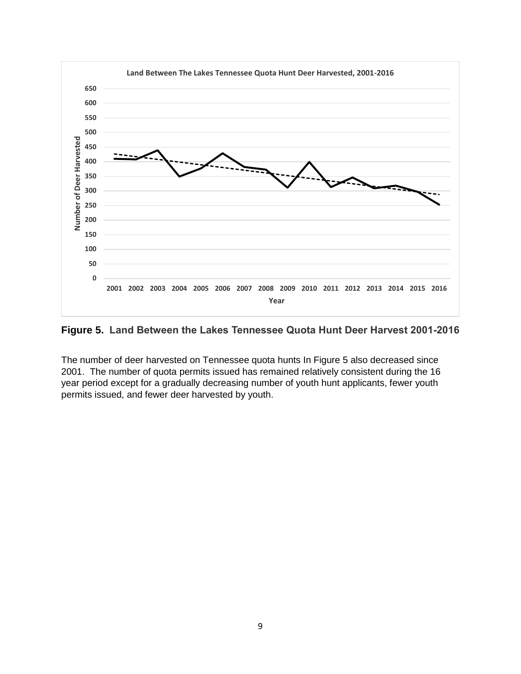

#### **Figure 5. Land Between the Lakes Tennessee Quota Hunt Deer Harvest 2001-2016**

The number of deer harvested on Tennessee quota hunts In Figure 5 also decreased since 2001. The number of quota permits issued has remained relatively consistent during the 16 year period except for a gradually decreasing number of youth hunt applicants, fewer youth permits issued, and fewer deer harvested by youth.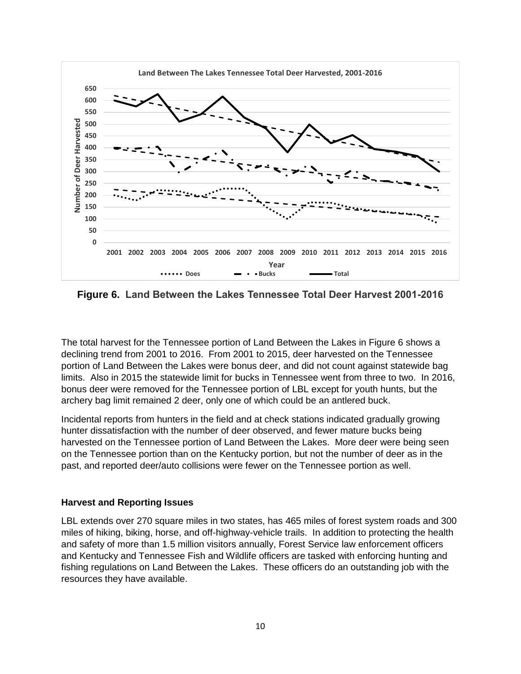

**Figure 6. Land Between the Lakes Tennessee Total Deer Harvest 2001-2016**

The total harvest for the Tennessee portion of Land Between the Lakes in Figure 6 shows a declining trend from 2001 to 2016. From 2001 to 2015, deer harvested on the Tennessee portion of Land Between the Lakes were bonus deer, and did not count against statewide bag limits. Also in 2015 the statewide limit for bucks in Tennessee went from three to two. In 2016, bonus deer were removed for the Tennessee portion of LBL except for youth hunts, but the archery bag limit remained 2 deer, only one of which could be an antlered buck.

Incidental reports from hunters in the field and at check stations indicated gradually growing hunter dissatisfaction with the number of deer observed, and fewer mature bucks being harvested on the Tennessee portion of Land Between the Lakes. More deer were being seen on the Tennessee portion than on the Kentucky portion, but not the number of deer as in the past, and reported deer/auto collisions were fewer on the Tennessee portion as well.

#### **Harvest and Reporting Issues**

LBL extends over 270 square miles in two states, has 465 miles of forest system roads and 300 miles of hiking, biking, horse, and off-highway-vehicle trails. In addition to protecting the health and safety of more than 1.5 million visitors annually, Forest Service law enforcement officers and Kentucky and Tennessee Fish and Wildlife officers are tasked with enforcing hunting and fishing regulations on Land Between the Lakes. These officers do an outstanding job with the resources they have available.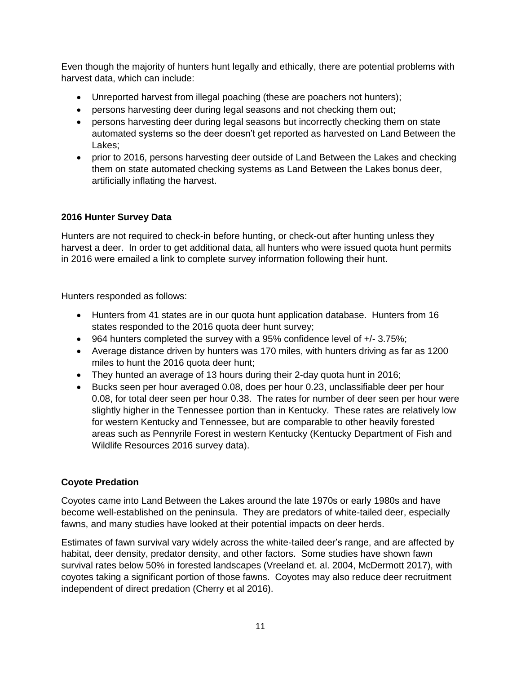Even though the majority of hunters hunt legally and ethically, there are potential problems with harvest data, which can include:

- Unreported harvest from illegal poaching (these are poachers not hunters);
- persons harvesting deer during legal seasons and not checking them out;
- persons harvesting deer during legal seasons but incorrectly checking them on state automated systems so the deer doesn't get reported as harvested on Land Between the Lakes;
- prior to 2016, persons harvesting deer outside of Land Between the Lakes and checking them on state automated checking systems as Land Between the Lakes bonus deer, artificially inflating the harvest.

### **2016 Hunter Survey Data**

Hunters are not required to check-in before hunting, or check-out after hunting unless they harvest a deer. In order to get additional data, all hunters who were issued quota hunt permits in 2016 were emailed a link to complete survey information following their hunt.

Hunters responded as follows:

- Hunters from 41 states are in our quota hunt application database. Hunters from 16 states responded to the 2016 quota deer hunt survey;
- 964 hunters completed the survey with a 95% confidence level of +/- 3.75%;
- Average distance driven by hunters was 170 miles, with hunters driving as far as 1200 miles to hunt the 2016 quota deer hunt;
- They hunted an average of 13 hours during their 2-day quota hunt in 2016;
- Bucks seen per hour averaged 0.08, does per hour 0.23, unclassifiable deer per hour 0.08, for total deer seen per hour 0.38. The rates for number of deer seen per hour were slightly higher in the Tennessee portion than in Kentucky. These rates are relatively low for western Kentucky and Tennessee, but are comparable to other heavily forested areas such as Pennyrile Forest in western Kentucky (Kentucky Department of Fish and Wildlife Resources 2016 survey data).

#### **Coyote Predation**

Coyotes came into Land Between the Lakes around the late 1970s or early 1980s and have become well-established on the peninsula. They are predators of white-tailed deer, especially fawns, and many studies have looked at their potential impacts on deer herds.

Estimates of fawn survival vary widely across the white-tailed deer's range, and are affected by habitat, deer density, predator density, and other factors. Some studies have shown fawn survival rates below 50% in forested landscapes (Vreeland et. al. 2004, McDermott 2017), with coyotes taking a significant portion of those fawns. Coyotes may also reduce deer recruitment independent of direct predation (Cherry et al 2016).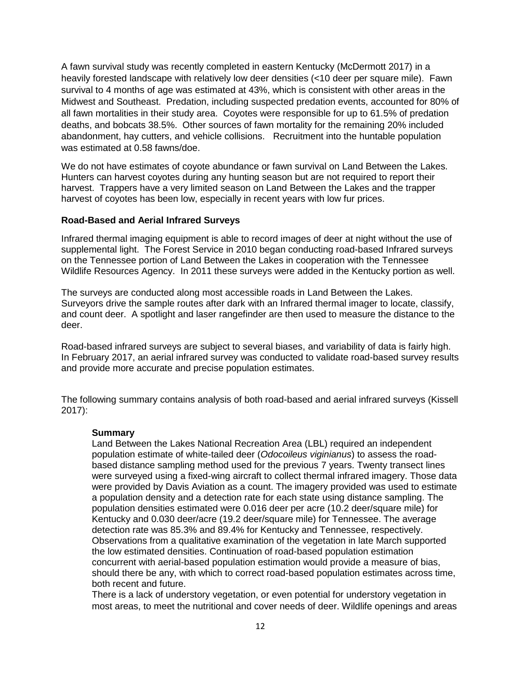A fawn survival study was recently completed in eastern Kentucky (McDermott 2017) in a heavily forested landscape with relatively low deer densities (<10 deer per square mile). Fawn survival to 4 months of age was estimated at 43%, which is consistent with other areas in the Midwest and Southeast. Predation, including suspected predation events, accounted for 80% of all fawn mortalities in their study area. Coyotes were responsible for up to 61.5% of predation deaths, and bobcats 38.5%. Other sources of fawn mortality for the remaining 20% included abandonment, hay cutters, and vehicle collisions. Recruitment into the huntable population was estimated at 0.58 fawns/doe.

We do not have estimates of coyote abundance or fawn survival on Land Between the Lakes. Hunters can harvest coyotes during any hunting season but are not required to report their harvest. Trappers have a very limited season on Land Between the Lakes and the trapper harvest of coyotes has been low, especially in recent years with low fur prices.

#### **Road-Based and Aerial Infrared Surveys**

Infrared thermal imaging equipment is able to record images of deer at night without the use of supplemental light. The Forest Service in 2010 began conducting road-based Infrared surveys on the Tennessee portion of Land Between the Lakes in cooperation with the Tennessee Wildlife Resources Agency. In 2011 these surveys were added in the Kentucky portion as well.

The surveys are conducted along most accessible roads in Land Between the Lakes. Surveyors drive the sample routes after dark with an Infrared thermal imager to locate, classify, and count deer. A spotlight and laser rangefinder are then used to measure the distance to the deer.

Road-based infrared surveys are subject to several biases, and variability of data is fairly high. In February 2017, an aerial infrared survey was conducted to validate road-based survey results and provide more accurate and precise population estimates.

The following summary contains analysis of both road-based and aerial infrared surveys (Kissell 2017):

#### **Summary**

Land Between the Lakes National Recreation Area (LBL) required an independent population estimate of white-tailed deer (*Odocoileus viginianus*) to assess the roadbased distance sampling method used for the previous 7 years. Twenty transect lines were surveyed using a fixed-wing aircraft to collect thermal infrared imagery. Those data were provided by Davis Aviation as a count. The imagery provided was used to estimate a population density and a detection rate for each state using distance sampling. The population densities estimated were 0.016 deer per acre (10.2 deer/square mile) for Kentucky and 0.030 deer/acre (19.2 deer/square mile) for Tennessee. The average detection rate was 85.3% and 89.4% for Kentucky and Tennessee, respectively. Observations from a qualitative examination of the vegetation in late March supported the low estimated densities. Continuation of road-based population estimation concurrent with aerial-based population estimation would provide a measure of bias, should there be any, with which to correct road-based population estimates across time, both recent and future.

There is a lack of understory vegetation, or even potential for understory vegetation in most areas, to meet the nutritional and cover needs of deer. Wildlife openings and areas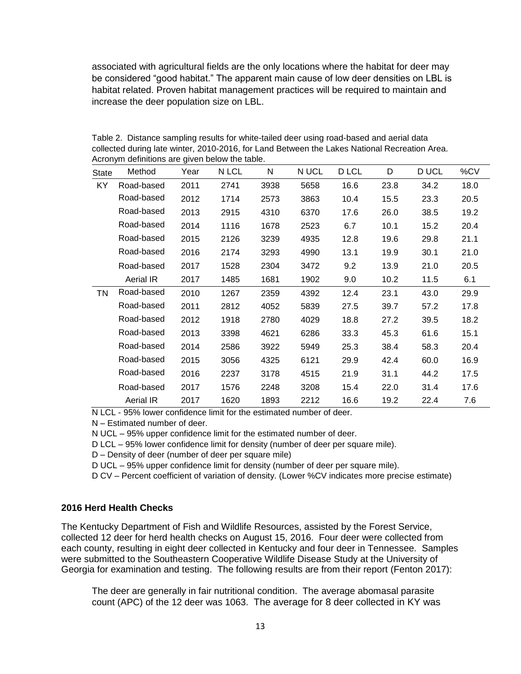associated with agricultural fields are the only locations where the habitat for deer may be considered "good habitat." The apparent main cause of low deer densities on LBL is habitat related. Proven habitat management practices will be required to maintain and increase the deer population size on LBL.

Table 2. Distance sampling results for white-tailed deer using road-based and aerial data collected during late winter, 2010-2016, for Land Between the Lakes National Recreation Area. Acronym definitions are given below the table.

| <b>State</b> | Method           | Year | N LCL | N    | N UCL | D LCL | D    | D UCL | %CV  |
|--------------|------------------|------|-------|------|-------|-------|------|-------|------|
| <b>KY</b>    | Road-based       | 2011 | 2741  | 3938 | 5658  | 16.6  | 23.8 | 34.2  | 18.0 |
|              | Road-based       | 2012 | 1714  | 2573 | 3863  | 10.4  | 15.5 | 23.3  | 20.5 |
|              | Road-based       | 2013 | 2915  | 4310 | 6370  | 17.6  | 26.0 | 38.5  | 19.2 |
|              | Road-based       | 2014 | 1116  | 1678 | 2523  | 6.7   | 10.1 | 15.2  | 20.4 |
|              | Road-based       | 2015 | 2126  | 3239 | 4935  | 12.8  | 19.6 | 29.8  | 21.1 |
|              | Road-based       | 2016 | 2174  | 3293 | 4990  | 13.1  | 19.9 | 30.1  | 21.0 |
|              | Road-based       | 2017 | 1528  | 2304 | 3472  | 9.2   | 13.9 | 21.0  | 20.5 |
|              | <b>Aerial IR</b> | 2017 | 1485  | 1681 | 1902  | 9.0   | 10.2 | 11.5  | 6.1  |
| TN           | Road-based       | 2010 | 1267  | 2359 | 4392  | 12.4  | 23.1 | 43.0  | 29.9 |
|              | Road-based       | 2011 | 2812  | 4052 | 5839  | 27.5  | 39.7 | 57.2  | 17.8 |
|              | Road-based       | 2012 | 1918  | 2780 | 4029  | 18.8  | 27.2 | 39.5  | 18.2 |
|              | Road-based       | 2013 | 3398  | 4621 | 6286  | 33.3  | 45.3 | 61.6  | 15.1 |
|              | Road-based       | 2014 | 2586  | 3922 | 5949  | 25.3  | 38.4 | 58.3  | 20.4 |
|              | Road-based       | 2015 | 3056  | 4325 | 6121  | 29.9  | 42.4 | 60.0  | 16.9 |
|              | Road-based       | 2016 | 2237  | 3178 | 4515  | 21.9  | 31.1 | 44.2  | 17.5 |
|              | Road-based       | 2017 | 1576  | 2248 | 3208  | 15.4  | 22.0 | 31.4  | 17.6 |
|              | <b>Aerial IR</b> | 2017 | 1620  | 1893 | 2212  | 16.6  | 19.2 | 22.4  | 7.6  |

N LCL - 95% lower confidence limit for the estimated number of deer.

N – Estimated number of deer.

N UCL – 95% upper confidence limit for the estimated number of deer.

D LCL – 95% lower confidence limit for density (number of deer per square mile).

D – Density of deer (number of deer per square mile)

D UCL – 95% upper confidence limit for density (number of deer per square mile).

D CV – Percent coefficient of variation of density. (Lower %CV indicates more precise estimate)

#### **2016 Herd Health Checks**

The Kentucky Department of Fish and Wildlife Resources, assisted by the Forest Service, collected 12 deer for herd health checks on August 15, 2016. Four deer were collected from each county, resulting in eight deer collected in Kentucky and four deer in Tennessee. Samples were submitted to the Southeastern Cooperative Wildlife Disease Study at the University of Georgia for examination and testing. The following results are from their report (Fenton 2017):

The deer are generally in fair nutritional condition. The average abomasal parasite count (APC) of the 12 deer was 1063. The average for 8 deer collected in KY was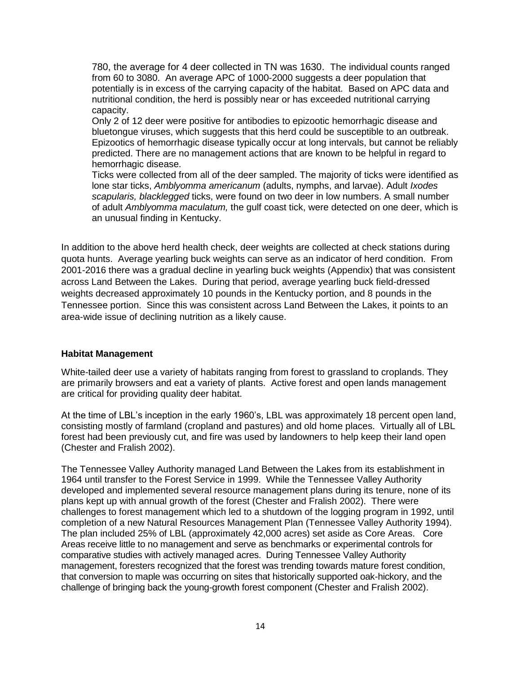780, the average for 4 deer collected in TN was 1630. The individual counts ranged from 60 to 3080. An average APC of 1000-2000 suggests a deer population that potentially is in excess of the carrying capacity of the habitat. Based on APC data and nutritional condition, the herd is possibly near or has exceeded nutritional carrying capacity.

Only 2 of 12 deer were positive for antibodies to epizootic hemorrhagic disease and bluetongue viruses, which suggests that this herd could be susceptible to an outbreak. Epizootics of hemorrhagic disease typically occur at long intervals, but cannot be reliably predicted. There are no management actions that are known to be helpful in regard to hemorrhagic disease.

Ticks were collected from all of the deer sampled. The majority of ticks were identified as lone star ticks, *Amblyomma americanum* (adults, nymphs, and larvae). Adult *Ixodes scapularis, blacklegged* ticks, were found on two deer in low numbers. A small number of adult *Amblyomma maculatum,* the gulf coast tick, were detected on one deer, which is an unusual finding in Kentucky.

In addition to the above herd health check, deer weights are collected at check stations during quota hunts. Average yearling buck weights can serve as an indicator of herd condition. From 2001-2016 there was a gradual decline in yearling buck weights (Appendix) that was consistent across Land Between the Lakes. During that period, average yearling buck field-dressed weights decreased approximately 10 pounds in the Kentucky portion, and 8 pounds in the Tennessee portion. Since this was consistent across Land Between the Lakes, it points to an area-wide issue of declining nutrition as a likely cause.

#### **Habitat Management**

White-tailed deer use a variety of habitats ranging from forest to grassland to croplands. They are primarily browsers and eat a variety of plants. Active forest and open lands management are critical for providing quality deer habitat.

At the time of LBL's inception in the early 1960's, LBL was approximately 18 percent open land, consisting mostly of farmland (cropland and pastures) and old home places. Virtually all of LBL forest had been previously cut, and fire was used by landowners to help keep their land open (Chester and Fralish 2002).

The Tennessee Valley Authority managed Land Between the Lakes from its establishment in 1964 until transfer to the Forest Service in 1999. While the Tennessee Valley Authority developed and implemented several resource management plans during its tenure, none of its plans kept up with annual growth of the forest (Chester and Fralish 2002). There were challenges to forest management which led to a shutdown of the logging program in 1992, until completion of a new Natural Resources Management Plan (Tennessee Valley Authority 1994). The plan included 25% of LBL (approximately 42,000 acres) set aside as Core Areas. Core Areas receive little to no management and serve as benchmarks or experimental controls for comparative studies with actively managed acres. During Tennessee Valley Authority management, foresters recognized that the forest was trending towards mature forest condition, that conversion to maple was occurring on sites that historically supported oak-hickory, and the challenge of bringing back the young-growth forest component (Chester and Fralish 2002).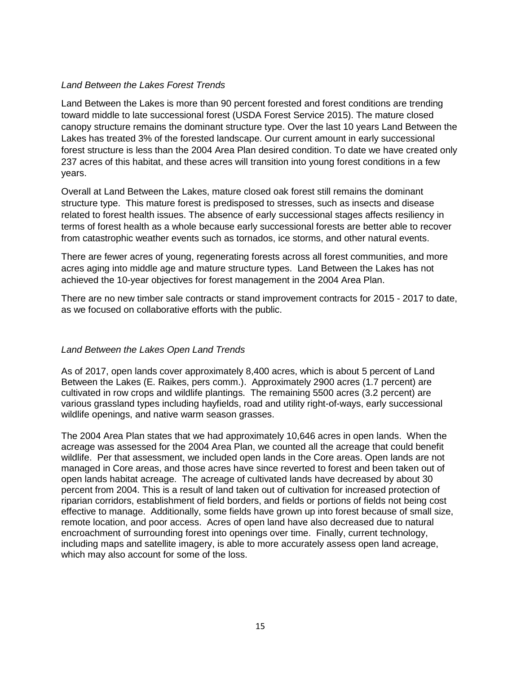#### *Land Between the Lakes Forest Trends*

Land Between the Lakes is more than 90 percent forested and forest conditions are trending toward middle to late successional forest (USDA Forest Service 2015). The mature closed canopy structure remains the dominant structure type. Over the last 10 years Land Between the Lakes has treated 3% of the forested landscape. Our current amount in early successional forest structure is less than the 2004 Area Plan desired condition. To date we have created only 237 acres of this habitat, and these acres will transition into young forest conditions in a few years.

Overall at Land Between the Lakes, mature closed oak forest still remains the dominant structure type. This mature forest is predisposed to stresses, such as insects and disease related to forest health issues. The absence of early successional stages affects resiliency in terms of forest health as a whole because early successional forests are better able to recover from catastrophic weather events such as tornados, ice storms, and other natural events.

There are fewer acres of young, regenerating forests across all forest communities, and more acres aging into middle age and mature structure types. Land Between the Lakes has not achieved the 10-year objectives for forest management in the 2004 Area Plan.

There are no new timber sale contracts or stand improvement contracts for 2015 - 2017 to date, as we focused on collaborative efforts with the public.

#### *Land Between the Lakes Open Land Trends*

As of 2017, open lands cover approximately 8,400 acres, which is about 5 percent of Land Between the Lakes (E. Raikes, pers comm.). Approximately 2900 acres (1.7 percent) are cultivated in row crops and wildlife plantings. The remaining 5500 acres (3.2 percent) are various grassland types including hayfields, road and utility right-of-ways, early successional wildlife openings, and native warm season grasses.

The 2004 Area Plan states that we had approximately 10,646 acres in open lands. When the acreage was assessed for the 2004 Area Plan, we counted all the acreage that could benefit wildlife. Per that assessment, we included open lands in the Core areas. Open lands are not managed in Core areas, and those acres have since reverted to forest and been taken out of open lands habitat acreage. The acreage of cultivated lands have decreased by about 30 percent from 2004. This is a result of land taken out of cultivation for increased protection of riparian corridors, establishment of field borders, and fields or portions of fields not being cost effective to manage. Additionally, some fields have grown up into forest because of small size, remote location, and poor access. Acres of open land have also decreased due to natural encroachment of surrounding forest into openings over time. Finally, current technology, including maps and satellite imagery, is able to more accurately assess open land acreage, which may also account for some of the loss.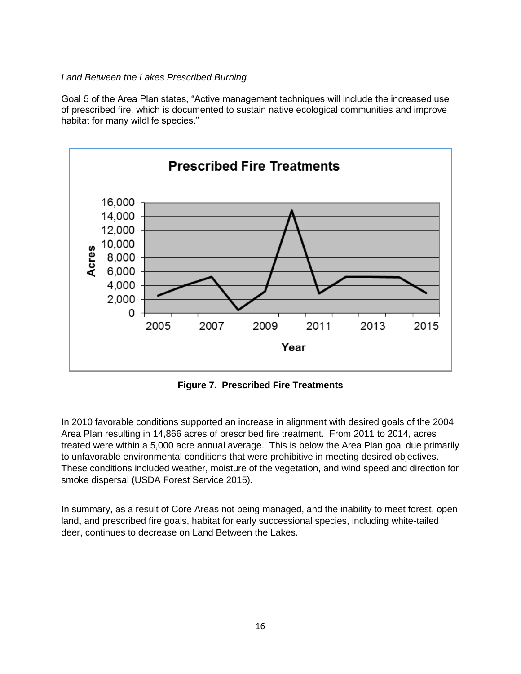#### *Land Between the Lakes Prescribed Burning*

Goal 5 of the Area Plan states, "Active management techniques will include the increased use of prescribed fire, which is documented to sustain native ecological communities and improve habitat for many wildlife species."



**Figure 7. Prescribed Fire Treatments**

In 2010 favorable conditions supported an increase in alignment with desired goals of the 2004 Area Plan resulting in 14,866 acres of prescribed fire treatment. From 2011 to 2014, acres treated were within a 5,000 acre annual average. This is below the Area Plan goal due primarily to unfavorable environmental conditions that were prohibitive in meeting desired objectives. These conditions included weather, moisture of the vegetation, and wind speed and direction for smoke dispersal (USDA Forest Service 2015).

In summary, as a result of Core Areas not being managed, and the inability to meet forest, open land, and prescribed fire goals, habitat for early successional species, including white-tailed deer, continues to decrease on Land Between the Lakes.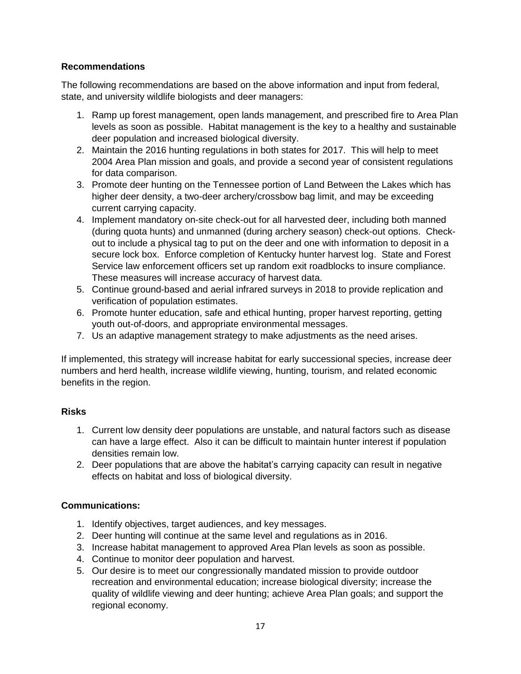#### **Recommendations**

The following recommendations are based on the above information and input from federal, state, and university wildlife biologists and deer managers:

- 1. Ramp up forest management, open lands management, and prescribed fire to Area Plan levels as soon as possible. Habitat management is the key to a healthy and sustainable deer population and increased biological diversity.
- 2. Maintain the 2016 hunting regulations in both states for 2017. This will help to meet 2004 Area Plan mission and goals, and provide a second year of consistent regulations for data comparison.
- 3. Promote deer hunting on the Tennessee portion of Land Between the Lakes which has higher deer density, a two-deer archery/crossbow bag limit, and may be exceeding current carrying capacity.
- 4. Implement mandatory on-site check-out for all harvested deer, including both manned (during quota hunts) and unmanned (during archery season) check-out options. Checkout to include a physical tag to put on the deer and one with information to deposit in a secure lock box. Enforce completion of Kentucky hunter harvest log. State and Forest Service law enforcement officers set up random exit roadblocks to insure compliance. These measures will increase accuracy of harvest data.
- 5. Continue ground-based and aerial infrared surveys in 2018 to provide replication and verification of population estimates.
- 6. Promote hunter education, safe and ethical hunting, proper harvest reporting, getting youth out-of-doors, and appropriate environmental messages.
- 7. Us an adaptive management strategy to make adjustments as the need arises.

If implemented, this strategy will increase habitat for early successional species, increase deer numbers and herd health, increase wildlife viewing, hunting, tourism, and related economic benefits in the region.

#### **Risks**

- 1. Current low density deer populations are unstable, and natural factors such as disease can have a large effect. Also it can be difficult to maintain hunter interest if population densities remain low.
- 2. Deer populations that are above the habitat's carrying capacity can result in negative effects on habitat and loss of biological diversity.

#### **Communications:**

- 1. Identify objectives, target audiences, and key messages.
- 2. Deer hunting will continue at the same level and regulations as in 2016.
- 3. Increase habitat management to approved Area Plan levels as soon as possible.
- 4. Continue to monitor deer population and harvest.
- 5. Our desire is to meet our congressionally mandated mission to provide outdoor recreation and environmental education; increase biological diversity; increase the quality of wildlife viewing and deer hunting; achieve Area Plan goals; and support the regional economy.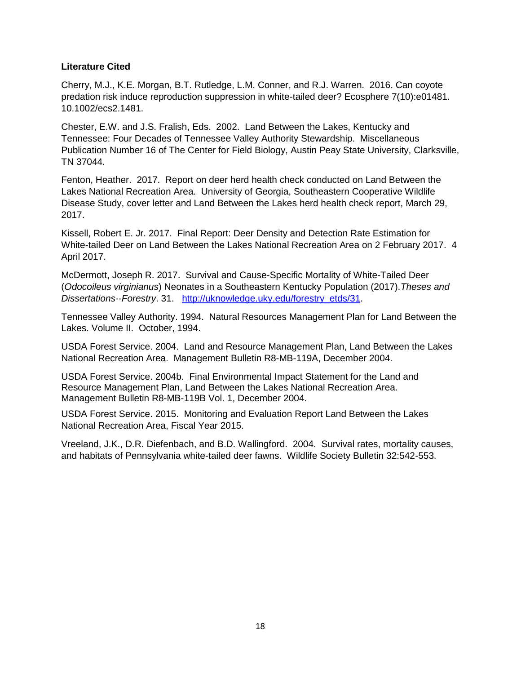#### **Literature Cited**

Cherry, M.J., K.E. Morgan, B.T. Rutledge, L.M. Conner, and R.J. Warren. 2016. Can coyote predation risk induce reproduction suppression in white-tailed deer? Ecosphere 7(10):e01481. 10.1002/ecs2.1481.

Chester, E.W. and J.S. Fralish, Eds. 2002. Land Between the Lakes, Kentucky and Tennessee: Four Decades of Tennessee Valley Authority Stewardship. Miscellaneous Publication Number 16 of The Center for Field Biology, Austin Peay State University, Clarksville, TN 37044.

Fenton, Heather. 2017. Report on deer herd health check conducted on Land Between the Lakes National Recreation Area. University of Georgia, Southeastern Cooperative Wildlife Disease Study, cover letter and Land Between the Lakes herd health check report, March 29, 2017.

Kissell, Robert E. Jr. 2017. Final Report: Deer Density and Detection Rate Estimation for White-tailed Deer on Land Between the Lakes National Recreation Area on 2 February 2017. 4 April 2017.

McDermott, Joseph R. 2017. Survival and Cause-Specific Mortality of White-Tailed Deer (*Odocoileus virginianus*) Neonates in a Southeastern Kentucky Population (2017).*Theses and Dissertations--Forestry*. 31. [http://uknowledge.uky.edu/forestry\\_etds/31.](http://uknowledge.uky.edu/forestry_etds/31)

Tennessee Valley Authority. 1994. Natural Resources Management Plan for Land Between the Lakes. Volume II. October, 1994.

USDA Forest Service. 2004. Land and Resource Management Plan, Land Between the Lakes National Recreation Area. Management Bulletin R8-MB-119A, December 2004.

USDA Forest Service. 2004b. Final Environmental Impact Statement for the Land and Resource Management Plan, Land Between the Lakes National Recreation Area. Management Bulletin R8-MB-119B Vol. 1, December 2004.

USDA Forest Service. 2015. Monitoring and Evaluation Report Land Between the Lakes National Recreation Area, Fiscal Year 2015.

Vreeland, J.K., D.R. Diefenbach, and B.D. Wallingford. 2004. Survival rates, mortality causes, and habitats of Pennsylvania white-tailed deer fawns. Wildlife Society Bulletin 32:542-553.